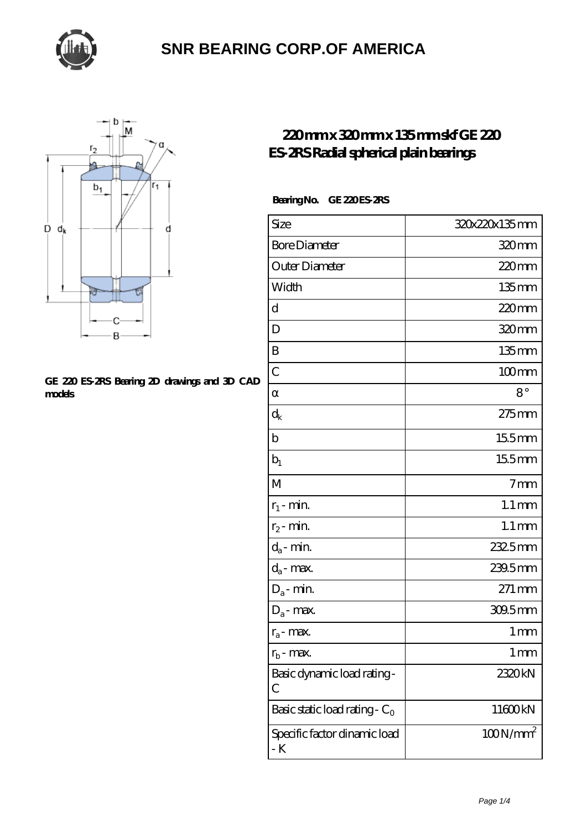



#### **[GE 220 ES-2RS Bearing 2D drawings and 3D CAD](https://thebestofquebec.com/pic-64978444.html) [models](https://thebestofquebec.com/pic-64978444.html)**

### **[220 mm x 320 mm x 135 mm skf GE 220](https://thebestofquebec.com/be-64978444-skf-ge-220-es-2rs-radial-spherical-plain-bearings.html) [ES-2RS Radial spherical plain bearings](https://thebestofquebec.com/be-64978444-skf-ge-220-es-2rs-radial-spherical-plain-bearings.html)**

#### **Bearing No. GE 220 ES-2RS**

| Size                                | 320x220x135mm       |
|-------------------------------------|---------------------|
| <b>Bore Diameter</b>                | 320mm               |
| Outer Diameter                      | $220$ mm            |
| Width                               | $135$ mm            |
| d                                   | 220mm               |
| D                                   | 320mm               |
| B                                   | $135$ mm            |
| $\overline{C}$                      | $100$ mm            |
|                                     | $8^{\circ}$         |
| $\rm d_k$                           | 275mm               |
| b                                   | 155mm               |
| $b_1$                               | 155mm               |
| M                                   | 7 <sub>mm</sub>     |
| $r_1$ - min.                        | $1.1 \,\mathrm{mm}$ |
| $r_2$ - min.                        | $1.1 \,\mathrm{mm}$ |
| $d_a$ - min.                        | 2325mm              |
| $d_a$ - max.                        | 239.5mm             |
| $D_a$ - min.                        | 271 mm              |
| $D_a$ - max.                        | 309.5mm             |
| $r_a$ - max.                        | 1 <sub>mm</sub>     |
| $r_{b}$ - max.                      | 1 mm                |
| Basic dynamic load rating-<br>С     | 2320kN              |
| Basic static load rating - $C_0$    | 11600kN             |
| Specific factor dinamic load<br>- K | $100N/mm^2$         |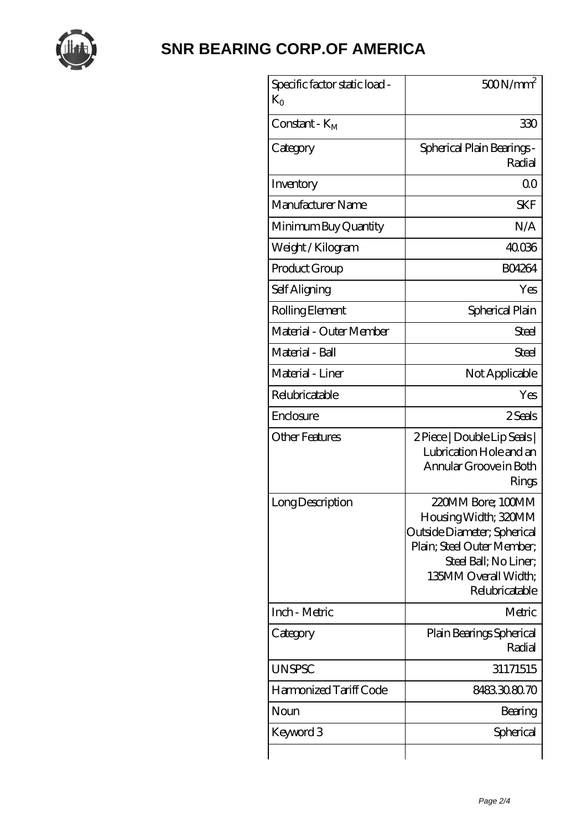

| Specific factor static load -<br>$K_{\Omega}$ | 500N/mm <sup>2</sup>                                                                                                                                                      |
|-----------------------------------------------|---------------------------------------------------------------------------------------------------------------------------------------------------------------------------|
| Constant - $K_M$                              | 330                                                                                                                                                                       |
| Category                                      | Spherical Plain Bearings -<br>Radial                                                                                                                                      |
| Inventory                                     | Q0                                                                                                                                                                        |
| Manufacturer Name                             | <b>SKF</b>                                                                                                                                                                |
| Minimum Buy Quantity                          | N/A                                                                                                                                                                       |
| Weight / Kilogram                             | 40.036                                                                                                                                                                    |
| Product Group                                 | <b>BO4264</b>                                                                                                                                                             |
| Self Aligning                                 | Yes                                                                                                                                                                       |
| Rolling Element                               | Spherical Plain                                                                                                                                                           |
| Material - Outer Member                       | Steel                                                                                                                                                                     |
| Material - Ball                               | Steel                                                                                                                                                                     |
| Material - Liner                              | Not Applicable                                                                                                                                                            |
| Relubricatable                                | Yes                                                                                                                                                                       |
| Enclosure                                     | 2 Seals                                                                                                                                                                   |
| Other Features                                | 2 Piece   Double Lip Seals  <br>Lubrication Hole and an<br>Annular Groove in Both<br>Rings                                                                                |
| Long Description                              | 220MM Bore; 100MM<br>Housing Width; 320MM<br>Outside Diameter; Spherical<br>Plain; Steel Outer Member;<br>Steel Ball; No Liner;<br>135MM Overall Width;<br>Relubricatable |
| Inch - Metric                                 | Metric                                                                                                                                                                    |
| Category                                      | Plain Bearings Spherical<br>Radial                                                                                                                                        |
| <b>UNSPSC</b>                                 | 31171515                                                                                                                                                                  |
| Harmonized Tariff Code                        | 8483.30.80.70                                                                                                                                                             |
| Noun                                          | Bearing                                                                                                                                                                   |
| Keyword 3                                     | Spherical                                                                                                                                                                 |
|                                               |                                                                                                                                                                           |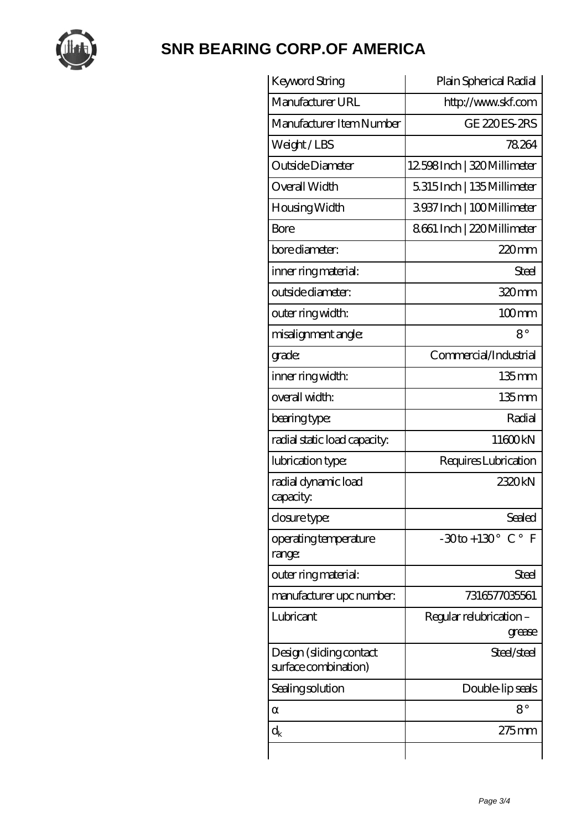

| Keyword String                                  | Plain Spherical Radial                        |
|-------------------------------------------------|-----------------------------------------------|
| Manufacturer URL                                | http://www.skf.com                            |
| Manufacturer Item Number                        | <b>GE 220ES-2RS</b>                           |
| Weight/LBS                                      | 78264                                         |
| Outside Diameter                                | 12598Inch   320 Millimeter                    |
| Overall Width                                   | 5315Inch   135Millimeter                      |
| Housing Width                                   | 3937Inch   100Millimeter                      |
| Bore                                            | 8661 Inch   220 Millimeter                    |
| bore diameter:                                  | $220$ mm                                      |
| inner ring material:                            | Steel                                         |
| outside diameter:                               | 320mm                                         |
| outer ring width:                               | $100$ <sub>mm</sub>                           |
| misalignment angle:                             | $8^{\circ}$                                   |
| grade:                                          | Commercial/Industrial                         |
| inner ring width:                               | $135$ mm                                      |
| overall width:                                  | 135 <sub>mm</sub>                             |
| bearing type:                                   | Radial                                        |
| radial static load capacity:                    | 11600kN                                       |
| lubrication type:                               | Requires Lubrication                          |
| radial dynamic load<br>capacity:                | 2320kN                                        |
| closure type:                                   | Sealed                                        |
| operating temperature<br>range:                 | $-30$ to + 130 $^{\circ}$ C $^{\circ}$<br>- F |
| outer ring material:                            | Steel                                         |
| manufacturer upc number:                        | 7316577035561                                 |
| Lubricant                                       | Regular relubrication -<br>grease             |
| Design (sliding contact<br>surface combination) | Steel/steel                                   |
| Sealing solution                                | Double-lip seals                              |
|                                                 | $8^{\circ}$                                   |
| $\rm{d}_k$                                      | $275$ mm                                      |
|                                                 |                                               |